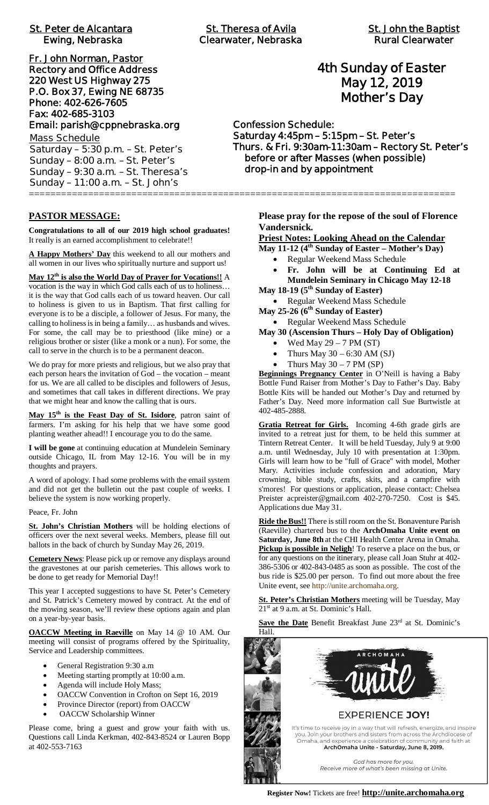# **St. Peter de Alcantara St. Theresa of Avila St. John the Baptist**

**Fr. John Norman, Pastor Rectory and Office Address 220 West US Highway 275 P.O. Box 37, Ewing NE 68735 Phone: 402-626-7605 Fax: 402-685-3103 Email: parish@cppnebraska.org**

**Mass Schedule Saturday – 5:30 p.m. – St. Peter's Sunday – 8:00 a.m. – St. Peter's Sunday – 9:30 a.m. – St. Theresa's Sunday – 11:00 a.m. – St. John's** ===============================================================================

#### **PASTOR MESSAGE:**

**Congratulations to all of our 2019 high school graduates!** It really is an earned accomplishment to celebrate!!

**A Happy Mothers' Day** this weekend to all our mothers and all women in our lives who spiritually nurture and support us!

**May 12th is also the World Day of Prayer for Vocations!!** A vocation is the way in which God calls each of us to holiness… it is the way that God calls each of us toward heaven. Our call to holiness is given to us in Baptism. That first calling for everyone is to be a disciple, a follower of Jesus. For many, the calling to holiness is in being a family… as husbands and wives. For some, the call may be to priesthood (like mine) or a religious brother or sister (like a monk or a nun). For some, the call to serve in the church is to be a permanent deacon.

We do pray for more priests and religious, but we also pray that each person hears the invitation of God – the vocation – meant for us. We are all called to be disciples and followers of Jesus, and sometimes that call takes in different directions. We pray that we might hear and know the calling that is ours.

**May 15th is the Feast Day of St. Isidore**, patron saint of farmers. I'm asking for his help that we have some good planting weather ahead!! I encourage you to do the same.

**I will be gone** at continuing education at Mundelein Seminary outside Chicago, IL from May 12-16. You will be in my thoughts and prayers.

A word of apology. I had some problems with the email system and did not get the bulletin out the past couple of weeks. I believe the system is now working properly.

Peace, Fr. John

**St. John's Christian Mothers** will be holding elections of officers over the next several weeks. Members, please fill out ballots in the back of church by Sunday May 26, 2019.

**Cemetery News**: Please pick up or remove any displays around the gravestones at our parish cemeteries. This allows work to be done to get ready for Memorial Day!!

This year I accepted suggestions to have St. Peter's Cemetery and St. Patrick's Cemetery mowed by contract. At the end of the mowing season, we'll review these options again and plan on a year-by-year basis.

**OACCW Meeting in Raeville** on May 14 @ 10 AM. Our meeting will consist of programs offered by the Spirituality, Service and Leadership committees.

- General Registration 9:30 a.m
- Meeting starting promptly at 10:00 a.m.
- Agenda will include Holy Mass;
- OACCW Convention in Crofton on Sept 16, 2019
- Province Director (report) from OACCW
- OACCW Scholarship Winner

Please come, bring a guest and grow your faith with us. Questions call Linda Kerkman, 402-843-8524 or Lauren Bopp at 402-553-7163

# **4th Sunday of Easter May 12, 2019 Mother's Day**

**Confession Schedule: Saturday 4:45pm – 5:15pm – St. Peter's Thurs. & Fri. 9:30am-11:30am – Rectory St. Peter's before or after Masses (when possible) drop-in and by appointment**

> **Please pray for the repose of the soul of Florence Vandersnick.**

**Priest Notes: Looking Ahead on the Calendar**

**May 11-12 (4th Sunday of Easter – Mother's Day)**

- Regular Weekend Mass Schedule
- · **Fr. John will be at Continuing Ed at Mundelein Seminary in Chicago May 12-18**

**May 18-19 (5th Sunday of Easter)**

· Regular Weekend Mass Schedule

**May 25-26 (6th Sunday of Easter)**

· Regular Weekend Mass Schedule

- **May 30 (Ascension Thurs Holy Day of Obligation)**
	- Wed May  $29 7$  PM  $(ST)$
	- Thurs May  $30 6:30$  AM (SJ)
	- Thurs May  $30 7$  PM (SP)

**Beginnings Pregnancy Center** in O'Neill is having a Baby Bottle Fund Raiser from Mother's Day to Father's Day. Baby Bottle Kits will be handed out Mother's Day and returned by Father's Day. Need more information call Sue Burtwistle at 402-485-2888.

**Gratia Retreat for Girls.** Incoming 4-6th grade girls are invited to a retreat just for them, to be held this summer at Tintern Retreat Center. It will be held Tuesday, July 9 at 9:00 a.m. until Wednesday, July 10 with presentation at 1:30pm. Girls will learn how to be "full of Grace" with model, Mother Mary. Activities include confession and adoration, Mary crowning, bible study, crafts, skits, and a campfire with s'mores! For questions or application, please contact: Chelsea Preister acpreister@gmail.com 402-270-7250. Cost is \$45. Applications due May 31.

**Ride the Bus!!** There is still room on the St. Bonaventure Parish (Raeville) chartered bus to the **ArchOmaha Unite event on Saturday, June 8th** at the CHI Health Center Arena in Omaha. **Pickup is possible in Neligh**! To reserve a place on the bus, or for any questions on the itinerary, please call Joan Stuhr at 402- 386-5306 or 402-843-0485 as soon as possible. The cost of the bus ride is \$25.00 per person. To find out more about the free Unite event, see http://unite.archomaha.org.

**St. Peter's Christian Mothers** meeting will be Tuesday, May 21<sup>st</sup> at 9 a.m. at St. Dominic's Hall.

Save the Date Benefit Breakfast June 23rd at St. Dominic's Hall.

> **EXPERIENCE JOY!** It's time to receive joy in a way that will refresh, energize, and inspire you. Join your brothers and sisters from across the Archdiocese of<br>Omaha, and experience a celebration of community and faith at ArchOmaha Unite - Saturday, June 8, 2019.

> > God has more for you. Receive more of what's been missing at Unite.

**Register Now!** Tickets are free! **http://unite.archomaha.org**